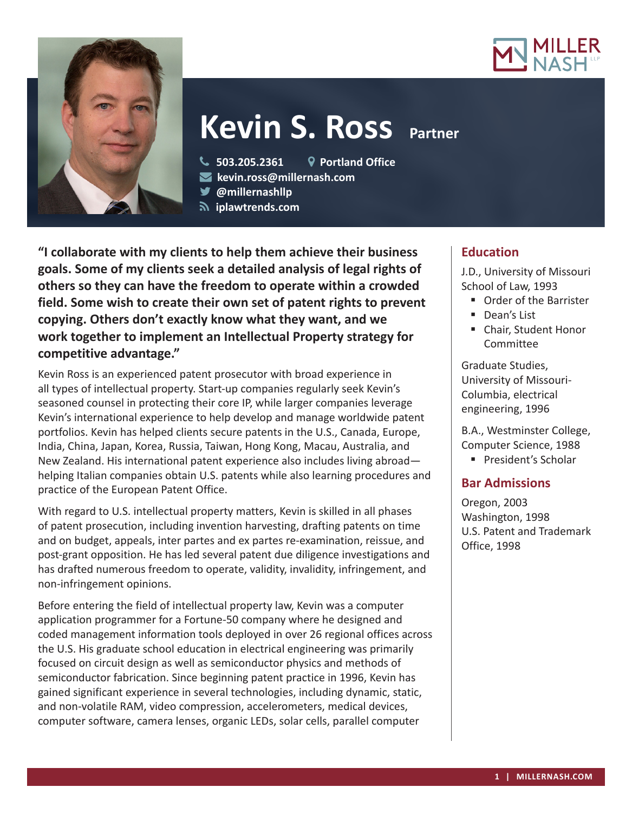



# **Kevin S. Ross Partner**

- **503.205.2361 Portland Office**
- **kevin.ross@millernash.com**
- **@millernashllp**
- **iplawtrends.com**

**"I collaborate with my clients to help them achieve their business goals. Some of my clients seek a detailed analysis of legal rights of others so they can have the freedom to operate within a crowded field. Some wish to create their own set of patent rights to prevent copying. Others don't exactly know what they want, and we work together to implement an Intellectual Property strategy for competitive advantage."**

Kevin Ross is an experienced patent prosecutor with broad experience in all types of intellectual property. Start-up companies regularly seek Kevin's seasoned counsel in protecting their core IP, while larger companies leverage Kevin's international experience to help develop and manage worldwide patent portfolios. Kevin has helped clients secure patents in the U.S., Canada, Europe, India, China, Japan, Korea, Russia, Taiwan, Hong Kong, Macau, Australia, and New Zealand. His international patent experience also includes living abroad helping Italian companies obtain U.S. patents while also learning procedures and practice of the European Patent Office.

With regard to U.S. intellectual property matters, Kevin is skilled in all phases of patent prosecution, including invention harvesting, drafting patents on time and on budget, appeals, inter partes and ex partes re-examination, reissue, and post-grant opposition. He has led several patent due diligence investigations and has drafted numerous freedom to operate, validity, invalidity, infringement, and non-infringement opinions.

Before entering the field of intellectual property law, Kevin was a computer application programmer for a Fortune-50 company where he designed and coded management information tools deployed in over 26 regional offices across the U.S. His graduate school education in electrical engineering was primarily focused on circuit design as well as semiconductor physics and methods of semiconductor fabrication. Since beginning patent practice in 1996, Kevin has gained significant experience in several technologies, including dynamic, static, and non-volatile RAM, video compression, accelerometers, medical devices, computer software, camera lenses, organic LEDs, solar cells, parallel computer

# **Education**

J.D., University of Missouri School of Law, 1993

- **Order of the Barrister**
- Dean's List
- Chair, Student Honor Committee

Graduate Studies, University of Missouri-Columbia, electrical engineering, 1996

B.A., Westminster College, Computer Science, 1988

**President's Scholar** 

# **Bar Admissions**

Oregon, 2003 Washington, 1998 U.S. Patent and Trademark Office, 1998